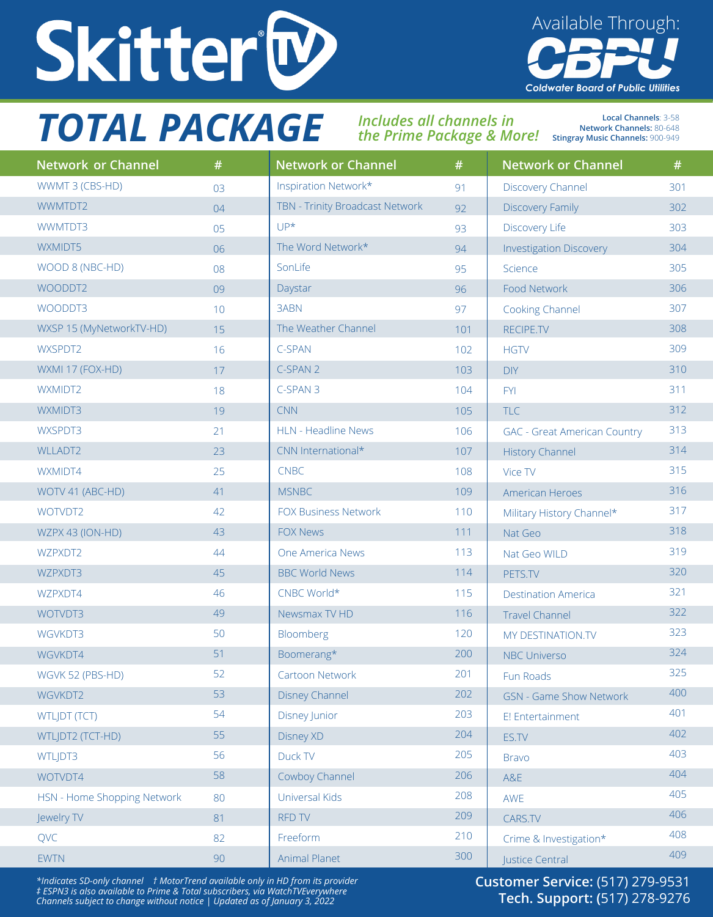

## *TOTAL PACKAGE Includes all channels in*

*the Prime Package & More!*  **Stingray Music Channels:** 900-949

**Local Channels**: 3-58 **Network Channels:** 80-648

Available Through:

**Coldwater Board of Public Utilities** 

| <b>Network or Channel</b>   | #  | <b>Network or Channel</b>       | #   | <b>Network or Channel</b>           | #   |
|-----------------------------|----|---------------------------------|-----|-------------------------------------|-----|
| WWMT 3 (CBS-HD)             | 03 | Inspiration Network*            | 91  | <b>Discovery Channel</b>            | 301 |
| WWMTDT2                     | 04 | TBN - Trinity Broadcast Network | 92  | <b>Discovery Family</b>             | 302 |
| WWMTDT3                     | 05 | $UP^{\star}$                    | 93  | Discovery Life                      | 303 |
| WXMIDT5                     | 06 | The Word Network*               | 94  | <b>Investigation Discovery</b>      | 304 |
| WOOD 8 (NBC-HD)             | 08 | SonLife                         | 95  | Science                             | 305 |
| WOODDT2                     | 09 | Daystar                         | 96  | Food Network                        | 306 |
| WOODDT3                     | 10 | 3ABN                            | 97  | Cooking Channel                     | 307 |
| WXSP 15 (MyNetworkTV-HD)    | 15 | The Weather Channel             | 101 | RECIPE.TV                           | 308 |
| WXSPDT2                     | 16 | C-SPAN                          | 102 | <b>HGTV</b>                         | 309 |
| WXMI 17 (FOX-HD)            | 17 | C-SPAN 2                        | 103 | <b>DIY</b>                          | 310 |
| WXMIDT2                     | 18 | C-SPAN 3                        | 104 | <b>FYI</b>                          | 311 |
| WXMIDT3                     | 19 | <b>CNN</b>                      | 105 | <b>TLC</b>                          | 312 |
| WXSPDT3                     | 21 | <b>HLN - Headline News</b>      | 106 | <b>GAC</b> - Great American Country | 313 |
| <b>WLLADT2</b>              | 23 | CNN International*              | 107 | <b>History Channel</b>              | 314 |
| WXMIDT4                     | 25 | <b>CNBC</b>                     | 108 | Vice TV                             | 315 |
| WOTV 41 (ABC-HD)            | 41 | <b>MSNBC</b>                    | 109 | American Heroes                     | 316 |
| WOTVDT2                     | 42 | <b>FOX Business Network</b>     | 110 | Military History Channel*           | 317 |
| WZPX 43 (ION-HD)            | 43 | <b>FOX News</b>                 | 111 | Nat Geo                             | 318 |
| WZPXDT2                     | 44 | One America News                | 113 | Nat Geo WILD                        | 319 |
| WZPXDT3                     | 45 | <b>BBC World News</b>           | 114 | PETS.TV                             | 320 |
| WZPXDT4                     | 46 | CNBC World*                     | 115 | <b>Destination America</b>          | 321 |
| WOTVDT3                     | 49 | Newsmax TV HD                   | 116 | <b>Travel Channel</b>               | 322 |
| WGVKDT3                     | 50 | Bloomberg                       | 120 | MY DESTINATION.TV                   | 323 |
| WGVKDT4                     | 51 | Boomerang*                      | 200 | <b>NBC Universo</b>                 | 324 |
| WGVK 52 (PBS-HD)            | 52 | Cartoon Network                 | 201 | Fun Roads                           | 325 |
| WGVKDT2                     | 53 | <b>Disney Channel</b>           | 202 | <b>GSN - Game Show Network</b>      | 400 |
| <b>WTLJDT (TCT)</b>         | 54 | <b>Disney Junior</b>            | 203 | E! Entertainment                    | 401 |
| WTLJDT2 (TCT-HD)            | 55 | <b>Disney XD</b>                | 204 | ES.TV                               | 402 |
| WTLJDT3                     | 56 | Duck TV                         | 205 | <b>Bravo</b>                        | 403 |
| WOTVDT4                     | 58 | Cowboy Channel                  | 206 | A&E                                 | 404 |
| HSN - Home Shopping Network | 80 | Universal Kids                  | 208 | AWE                                 | 405 |
| Jewelry TV                  | 81 | <b>RFD TV</b>                   | 209 | CARS.TV                             | 406 |
| QVC                         | 82 | Freeform                        | 210 | Crime & Investigation*              | 408 |
| <b>EWTN</b>                 | 90 | Animal Planet                   | 300 | Justice Central                     | 409 |

*\*Indicates SD-only channel † MotorTrend available only in HD from its provider ‡ ESPN3 is also available to Prime & Total subscribers, via WatchTVEverywhere Channels subject to change without notice | Updated as of January 3, 2022*

**Customer Service:** (517) 279-9531 **Tech. Support: (**517) 278-9276